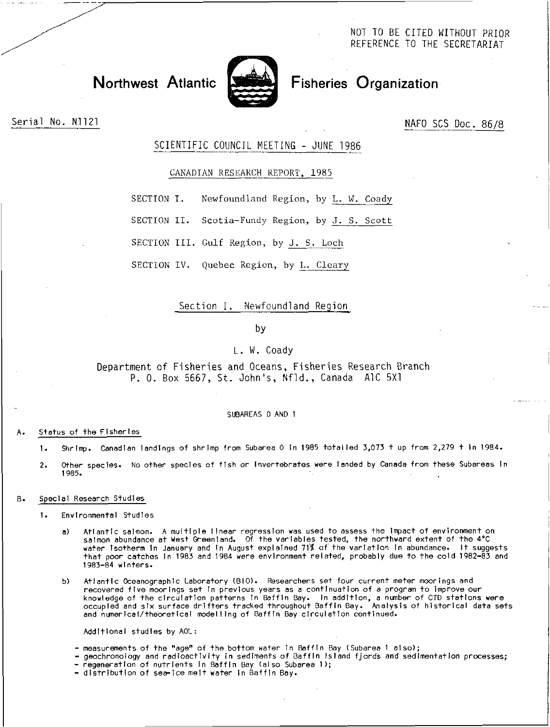NOT TO BE CITED WITHOUT PRIOR REFERENCE TO THE SECRETARIAT

# Northwest Atlantic



# Fisheries Organization

Serial No. N1121

NAFO SCS Doc. 86/8

# SCIENTIFIC COUNCIL MEETING - JUNE 1986

## CANADIAN RESEARCH REPORT, 1985

SECTION I. Newfoundland Region, by L. W. Coady

SECTION II. Scotia-Fundy Region, by J. S. Scott

SECTION III. Gulf Region, by J. S. Loch

SECTION IV. Quebec Region, by L. Cleary

## Section I. Newfoundland Region

# by

# L. W. Coady

Department of Fisheries and Oceans, Fisheries Research Branch P. 0. Box 5667, St. John's, Nfld., Canada A1C 5X1

## SUBAREAS 0 AND 1

## A. Status of the Fisheries

- 1. Shrimp. Canadian landings of shrimp from Subarea 0 in 1985 totalled 3,073 t up from 2,279 t in 1984.
- 2. Other species. No other species of fish or invertebrates were landed by Canada from these Subareas in 1985.

## B. Special Research Studies

- 1. Environmental Studies
	- a) Atlantic salmon. A multiple linear regression was used to assess the impact of environment on salmon abundance at West Greenland. Of the variables tested, the northward extent of the 4°C water Isotherm In January and in August explained 711 of the variation In abundance. It suggests that poor catches in 1983 and 1984 were environment related, probably due to the cold 1982-83 and 1983-84 winters.
	- b) Atlantic Oceanographic Laboratory (B10). Researchers set four current meter moorings and recovered five moorings set In previous years as a continuation of a program to improve our knowledge of the circulation patterns In Baffin Bay. In addition, a number of CTD stations were occupied and six surface drifters tracked throughout Baffin Bay. Analysis of historical data sets and numerical/theoretical modelling of Baffin Bay circulation continued.

Additional studies by AOL:

- measurements of the "age" of the bottom water in Baffin Bay (Subarea 1 also);
- geochronology and radioactivity in sediments of Baffin Island fjords and sedimentation processes; regeneration of nutrients in Baffin Bay (also Subarea 1);
	- distribution of sea-Ice melt water in Baffin Bay.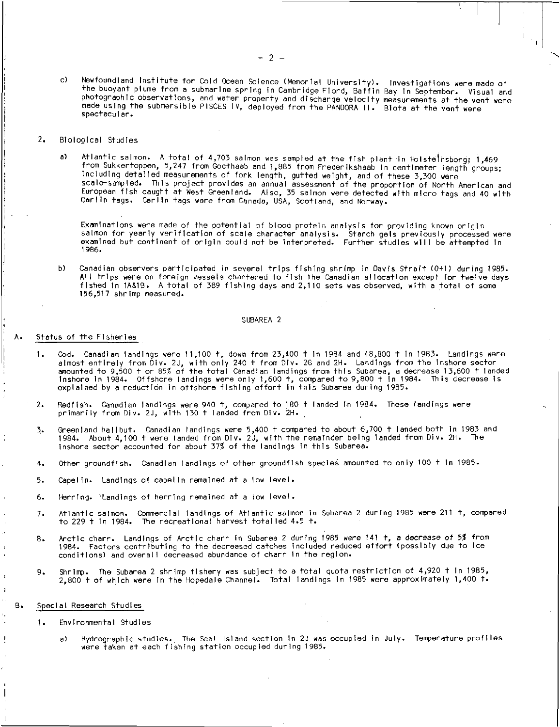c) Newfoundland Institute for Cold Ocean Science (Memorial University). Investigations were made of the buoyant plume from a submarine spring in Cambridge Fiord, Baffin Bay in September. Visual and photographic observations, and water property and discharge velocity measurements at the vent were made using the submersible PISCES IV, deployed from the PANDORA II. Biota at the vent were spectacular.

## 2. Biological Studies

a) Atlantic salmon. A total of 4,703 salmon was sampled at the fish plant in Holstelnsborg; 1,469 from Sukkertoppen, 5,247 from Godthaab and 1,885 from Frederlkshaab in centimeter length groups; including detailed measurements of fork length, gutted weight, and of these 3,300 were scale-sampled. This project provides an annual assessment of the proportion of North American and European fish caught at West Greenland. Also, 35 salmon were detected with micro tags and 40 with Carlin tags. Carlin tags were from Canada, USA, Scotland, and Norway.

Examinations were made of the potential of blood protein analysis for providing known origin salmon for yearly verification of scale character analysis. Starch gels previously processed were examined but continent of origin could not be interpreted. Further studies will be attempted In 1986.

b) Canadian observers participated in several trips fishing shrimp in Davis Strait (0+1) during 1985. All trips were on foreign vessels chartered to fish the Canadian allocation except for twelve days fished In 1A81B. A total of 389 fishing days and 2,110 sets was observed, with a total of some 156,517 shrimp measured.

## SUBAREA 2

#### . Status of the Fisheries

- 1. Cod. Canadian landings were 11,100 t, down from 23,400 t In 1984 and 48,800 t In 1983. Landings were almost entirely from Dlv. 2J, with only 240 t from Div. 2G and 2H. Landings from the inshore sector amounted to 9,500 t or 85% of the total Canadian landings from this Subarea, a decrease 13,600 t landed Inshore In 1984. Offshore landings were only 1,600 t, compared to 9,800 t In 1984. This decrease is explained by a reduction In offshore fishing effort in this Subarea during 1985.
- 2. Redfish. Canadian landings were 940 t, compared to 180 t landed in 1984. These landings were primarily from Dlv. 2J, with 130 t landed from Div. 2H.
- Greenland halibut. Canadian landings were 5,400 t compared to about 6,700 t landed both in 1983 and  $\mathbf{3}$ . 1984. About 4,100 t were landed from Div. 2J, with the remainder being landed from Div. 2H. The Inshore sector accounted for about 37% of the landings in this Subarea.
- 4. Other groundfish. Canadian landings of other groundfish species amounted to only 100 t in 1985.
- 5. Capelin. Landings of capelin remained at a low level.
- 6. Herring. 'Landings of herring remained at a low level.
- 7. Atlantic salmon. Commercial landings of Atlantic salmon In Subarea 2 during 1985 were 211 t, compared to 229 t in 1984. The recreational harvest totalled 4.5 t.
- 8. Arctic charr. Landings of Arctic charr in Subarea 2 during 1985 were 141 t, a decrease of 5% from 1984. Factors contributing to the decreased catches included reduced effort (possibly due to ice conditions) and overall decreased abundance of charr In the region.
- 9. Shrimp. The Subarea 2 shrimp fishery was subject to a total quota restriction of 4,920 t In 1985, 2,800 t of which were in the Hopedale Channel. Total landings In 1985 were approximately 1,400 t.

## B. Special Research Studies

1. Environmental Studies

a) Hydrographic studies. The Seal Island section In 2J was occupied in July. Temperature profiles were taken at each fishing station occupied during 1985.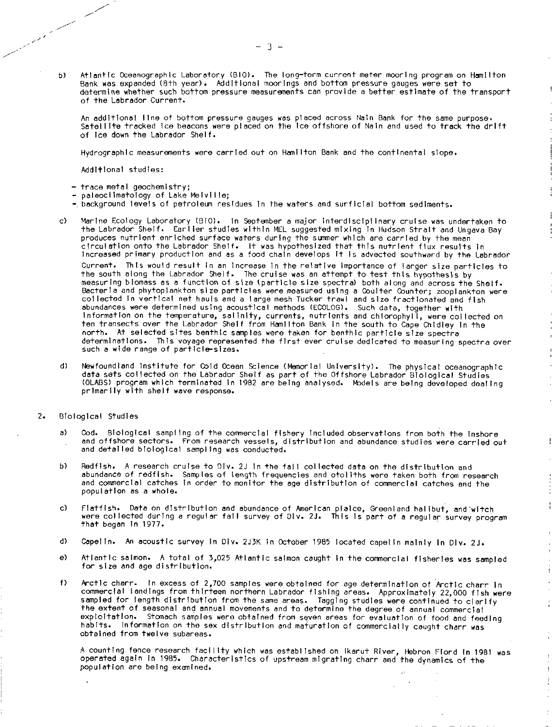b) Atlantic Oceanographic Laboratory (B10). The long-term current meter mooring program on Hamilton Bank was expanded (8th year). Additional moorings and bottom pressure gauges were set to determine whether such bottom pressure measurements can provide a better estimate of the transport of the Labrador Current.

Ţ.

 $\frac{1}{2}$ 

ŧ

 $\frac{1}{4}$ 

An additional line of bottom pressure gauges was placed across Nain Bank for the same purpose. Satellite tracked Ice beacons were placed on the ice offshore of Nain and used to track the drift of ice down the Labrador Shelf.

Hydrographlc measurements were carried out on Hamilton Bank and the continental slope.

Additional studies:

- trace metal geochemistry;
- paleoclimatology of Lake Melville;
- background levels of petroleum residues in the waters and surficial bottom sediments.
- c) Marine Ecology Laboratory (810). In September a major interdisciplinary cruise was undertaken to the Labrador Shelf. Earlier studies within MEL suggested mixing in Hudson Strait and Ungava Bay produces nutrient enriched surface waters during the summer which are carried by the mean circulation onto the Labrador Shelf. It was hypothesized that this nutrient flux results in increased primary production and as a food chain develops it is advected southward by the Labrador Current. This would result in an increase in the relative Importance of larger size particles to the south along the Labrador Shelf. The cruise was an attempt to test this hypothesis by measuring biomass as a function of size (particle size spectra) both along and across the Shelf. Bacteria and phytoplankton size particles were measured using a Coulter Counter; zooplankton were collected in vertical net hauls and a large mesh Tucker trawl and size fractionated and fish abundances were determined using acoustical methods (ECOLOG). Such data, together with information on the temperature, salinity, currents, nutrients and chlorophyll, were collected on ten transects over the Labrador Shelf from Hamilton Bank in the south to Cape Chidley in the north. At selected sites benthic samples were taken for benthic particle size spectra determinations. This voyage represented the first ever cruise dedicated to measuring spectra over such a wide range of particle-sizes.
- d) Newfoundland Institute for Cold Ocean Science (Memorial University). The physical oceanographic data sets collected on the Labrador Shelf as part of the Offshore Labrador Biological Studies (OLABS) program which terminated in 1982 are being analysed. Models are being developed dealing primarily with shelf wave response.
- 2. Biological Studies
	- a) Cod. Biological sampling of the commercial fishery included observations from both the inshore and offshore sectors. From research vessels, distribution and abundance studies were carried out and detailed biological sampling was conducted.
	- b) Redfish. A research cruise to Div. 2J in the fall collected data on the distribution and abundance of redfish. Samples of length frequencies and otollths were taken both from research and commercial catches in order to monitor the age distribution of commercial catches and the population as a whole.
	- c) Flatfish. Data on distribution and abundance of American plaice, Greenland halibut, and'witch were collected during a regular fail survey of Div. 2J. This is part of a regular survey program that began in 1977.
	- d) Capelin. An acoustic survey in Div. 2J3K in October 1985 located capelin mainly In Div. 2J.
	- e) Atlantic salmon. A total of 3,025 Atlantic salmon caught in the commercial fisheries was sampled for size and age distribution.
	- f) Arctic charr. In excess of 2,700 samples were obtained for age determination of Arctic charr In commercial landings from thirteen northern Labrador fishing areas. Approximately 22,000 fish were sampled for length distribution from the same areas. Tagging studies were continued to clarify the extent of seasonal and annual movements and to determine the degree of annual commercial exploitation. Stomach samples were obtained from seven areas for evaluation of food and feeding habits. Information on the sex distribution and maturation of commercially caught charr was obtained from twelve subareas.

A counting fence research facility which was established on Ikarut River, Hebron Fiord in 1981 was operated again in 1985. Characteristics of upstream migrating charr and the dynamics of the population are being examined.

— 3 —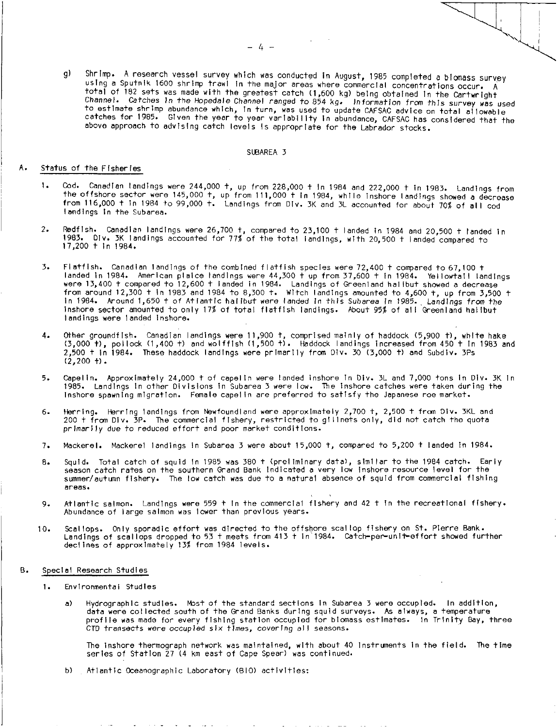g) Shrimp. A research vessel survey which was conducted in August, 1985 completed a biomass survey using a Sputnik 1600 shrimp trawl in the major areas where commercial concentrations occur. A total of 182 sets was made with the greatest catch (1,600 kg) being obtained In the Cartwright Channel. Catches in the Hopedale Channel ranged to 854 kg. Information from this survey was used to estimate shrimp abundance which, In turn, was used to update CAFSAC advice on total allowable

catches for 1985. Given the year to year variability in abundance, CAFSAC has considered that the

#### SUBAREA 3

above approach to advising catch levels is appropriate for the Labrador stocks.

## A. Status of the Fisheries

- 1. Cod. Canadian landings were 244,000 t, up from 228,000 t In 1984 and 222,000 t in 1983. Landings from the offshore sector were 145,000 t, up from 111,000 t in 1984, while inshore landings showed a decrease from 116,000 t in 1984 to 99,000 t. Landings from Div. 3K and 3L accounted for about 70% of all cod landings in the Subarea.
- 2. Redflsh. Canadian landings were 26,700 t, compared to 23,100 t landed in 1984 and 20,500 t landed in 1983. Div. 3K landings accounted for 77% of the total landings, with 20,500 t landed compared to 17,200 t in 1984.
- 3. Flatfish. Canadian landings of the combined flatfish species were 72,400 t compared to 67,100 t landed In 1984. American plaice landings were 44,300 t up from 37,600 t In 1984. Yellowtail landings were 13,400 t compared to 12,600 t landed in 1984. Landings of Greenland halibut showed a decrease from around 12,300 t In 1983 and 1984 to 8,300 t. Witch landings amounted to 4,600 t, up from 3,500 t in 1984. Around 1,650 t of Atlantic halibut were landed in this Subarea in 1985., Landings from the inshore sector amounted to only 17% of total flatfish landings. About 95% of all Greenland halibut landings were landed inshore.
- 4. Other groundfish. Canadian landings were 11,900 t, comprised mainly of haddock (5,900 t), white hake (3,000 t), pollock (1,400 t) and wolffish (1,500 t). Haddock landings increased from 450 t In 1983 and 2,500 t In 1984. These haddock landings were primarily from Div. 30 (3,000 t) and Subdiv. 3Ps  $(2,200 +)$ .
- 5. Capelin. Approximately 24,000 t of capelin were landed inshore In Div. 3L and 7,000 tons In Div. 3K In 1985. Landings in other Divisions in Subarea 3 were low. The inshore catches were taken during the Inshore spawning migration. Female capelin are preferred to satisfy the Japanese roe market.
- 6. Herring. Herring landings from Newfoundland were approximately 2,700 t, 2,500 t from Div. 3KL and 200 t from Div. 3P. The commercial fishery, restricted to gllinets only, did not catch the quota primarily due to reduced effort and poor market conditions.
- 7. Mackerel. Mackerel landings in Subarea 3 were about 15,000 t, compared to 5,200 t landed In 1984.
- 8. Squid. Total catch of squid in 1985 was 380 t (preliminary data), similar to the 1984 catch. Early season catch rates on the southern Grand Bank Indicated a very low inshore resource level for the summer/autumn fishery. The low catch was due to a natural absence of squid from commercial fishing areas.
- 9. Atlantic salmon. Landings were 559 t In the commercial fishery and 42 t in the recreational fishery. Abundance of large salmon was lower than previous years.
- 10. Scallops. Only sporadic effort was directed to the offshore scallop fishery on St. Pierre Bank. Landings of scallops dropped to 53 t meats from 413 t in 1984. Catch-per-unit-effort showed further declines of approximately 13% from 1984 levels.

## B. Special Research Studies

- 1. Environmental Studies
	- a) Hydrographic studies. Most of the standard sections In Subarea 3 were occupied. In addition, data were collected south of the Grand Banks during squid surveys. As always, a temperature profile was made for every fishing station occupied for biomass estimates. In Trinity Bay, three CIO transacts were occupied six times, covering all seasons.

The inshore thermograph network was maintained, with about 40 instruments in the field. The time series of Station 27 (4 km east of Cape Spear) was continued.

b) Atlantic Oceanographic Laboratory (810) activities: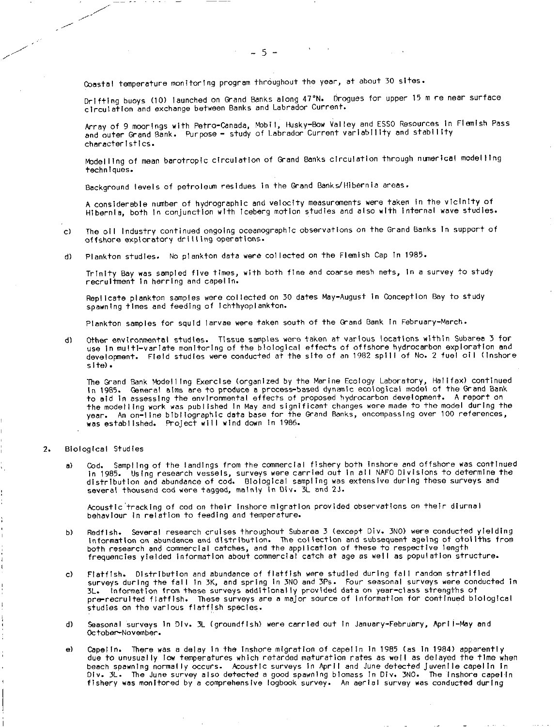Coastal temperature monitoring program throughout the year, at about 30 sites.

Drifting buoys (10) launched on Grand Banks along 47°N. Drogues for upper 15 m re near surface circulation and exchange between Banks and Labrador Current.

Array of 9 moorings with Petro-Canada, Mobil, Husky-Bow Valley and ESSO Resources in Flemish Pass and outer Grand Bank. Purpose - study of Labrador Current variability and stability characteristics.

Modelling of mean barotropic circulation of Grand Banks circulation through numerical modelling techniques.

Background levels of petroleum residues in the Grand Banks/Hibernia areas.

A considerable number of hydrographic and velocity measurements were taken in the vicinity of Hibernia, both In conjunction with iceberg motion studies and also with Internal wave studies.

- c) The oil industry continued ongoing oceanographic observations on the Grand Banks in support of offshore exploratory drilling operations.
- d) Plankton studies. No plankton data were collected on the Flemish Cap In 1985.

Trinity Bay was sampled five times, with both fine and coarse mesh nets, in a survey to study recruitment in herring and capelin.

Replicate plankton samples were collected on 30 dates May-August in Conception Bay to study spawning times and feeding of ichthyoplankton.

Plankton samples for squid larvae were taken south of the Grand Bank In February-March.

d) Other environmental studies. Tissue samples were taken at various locations within Subarea 3 for use in multi-variate monitoring of the biological effects of offshore hydrocarbon exploration and development. Field studies were conducted at the site of an 1982 spill of No. 2 fuel oil (inshore site).

The Grand Bank Modelling Exercise (organized by the Marine Ecology Laboratory, Halifax) continued in 1985. General alms are to produce a process-based dynamic ecological model of the Grand Bank to aid in assessing the environmental effects of proposed hydrocarbon development. A report on the modelling work was published In May and significant changes were made to the model during the year. An on-line bibliographic data base for the Grand Banks, encompassing over 100 references, was established. Project will wind down In 1986.

- 2. Biological Studies
	- a) Cod. Sampling of the landings from the commercial fishery both inshore and offshore was continued in 1985. Using research vessels, surveys were carried out in all NAFO Divisions to determine the distribution and abundance of cod. Biological sampling was extensive during these surveys and several thousand cod were tagged, mainly In Div. 3L and 23.

Acoustic'tracking of cod on their inshore migration provided observations on their diurnal behaviour in relation to feeding and temperature.

- b) Redfish. Several research cruises throughout Subarea 3 (except Div. 3N0) were conducted yielding Information on abundance and distribution. The collection and subsequent ageing of otoliths from both research and commercial catches, and the application of these to respective length frequencies yielded information about commercial catch at age as well as population structure.
- c) Flatfish. Distribution and abundance of flatfish were studied during fall random stratified surveys during the fall in 3K, and spring in 3N0 and 3Ps. Four seasonal surveys were conducted in 3L. Information from these surveys additionally provided data on year-class strengths of pre-recruited flatfish. These surveys are a major source of information for continued biological studies on the various flatfish species.
- d) Seasonal surveys in Div. 3L (groundfish) were carried out In January-February, April-May and October-November.
- e) Capelin. There was a delay in the inshore migration of capelin in 1985 (as in 1984) apparently due to unusually low temperatures which retarded maturation rates as well as delayed the time when beach spawning normally occurs. Acoustic surveys in April and June detected juvenile capelin in Div. 3L. The June survey also detected a good spawning biomass in Div. 3N0. The inshore capelin fishery was monitored by a comprehensive logbook survey. An aerial survey was conducted during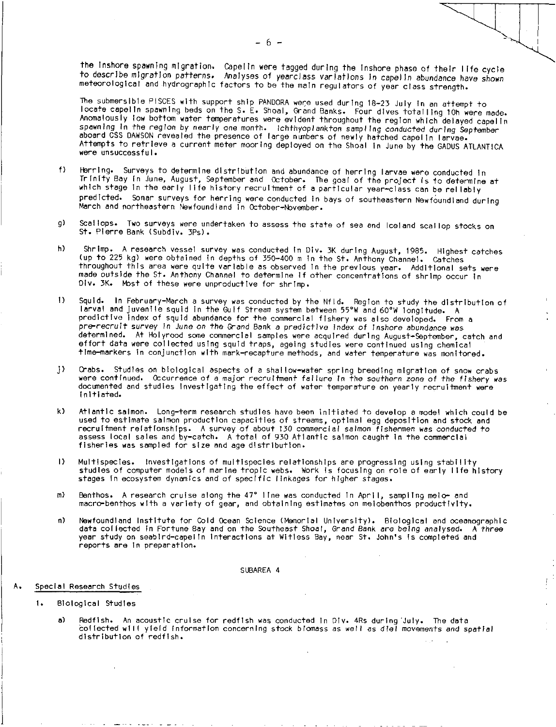the inshore spawning migration, Capelin were tagged during the inshore phase of their life cycle to describe migration patterns. Analyses of yearclass variations In capelin abundance have shown meteorological and hydrographic factors to be the main regulators of year class strength.

The submersible PISCES with support ship PANDORA were used during 18-23 July in an attempt to locate capel in spawning beds on the S. E. Shoal, Grand Banks. Four dives totalling 10h were made. Anomalously low bottom water temperatures were evident throughout the region which delayed capelin spawning in the region by nearly one month. lchthyoplankton sampling conducted during September aboard CSS DAWSON revealed the presence of large numbers of newly hatched capel in larvae. Attempts to retrieve a current meter mooring deployed on the Shoal In June by the GADUS ATLANTICA were unsuccessful.

- f) Herring. Surveys to determine distribution and abundance of herring larvae were conducted In Trinity Bay in June, August, September and October. The goal of the project is to determine at which stage in the early life history recruitment of a particular year-class can be reliably predicted. Sonar surveys for herring were conducted in bays of southeastern Newfoundland during March and northeastern Newfoundland in October-November.
- g) Scallops. Two surveys were undertaken to assess the state of sea and Iceland scallop stocks on St. Pierre Bank (Subdiv. 3Ps).
- h) Shrimp. A research vessel survey was conducted In Div. 3K during August, 1985. Highest catches (up to 225 kg) were obtained in depths of 350-400 m in the St. Anthony Channel. Catches throughout this area were quite variable as observed in the previous year. Additional sets were made outside the St. Anthony Channel to determine if other concentrations of shrimp occur in Div. 3K. Most of these were unproductive for shrimp.
- I) Squid. In February-March a survey was conducted by the Nfld. Region to study the distribution of larval and Juvenile squid in the Gulf Stream system between 55°W and 60°W longitude. A predictive index of squid abundance for the commercial fishery was also developed. From a pre-recruit survey In June on the Grand Bank a predictive Index of Inshore abundance was determined. At Holyrood some commercial samples were acquired during August-September, catch and effort data were collected using squid traps, ageing studies were continued using chemical time-markers in conjunction with mark-recapture methods, and water temperature was monitored.
- $\mathbf{D}$ Crabs. Studies on biological aspects of a shallow-water spring breeding migration of snow crabs were continued. Occurrence of a major recruitment failure In the southern zone of the fishery was documented and studies Investigating the effect of water temperature on yearly recruitment were initiated.
- k) Atlantic salmon. Long-term research studies have been initiated to develop a model which could be used to estimate salmon production capacities of streams, optimal egg deposition and stock and recruitment relationships. A survey of about 130 commercial salmon fishermen was conducted to assess local sales and by-catch. A total of 930 Atlantic salmon caught in the commercial fisheries was sampled for size and age distribution.
- I) Multispecies. Investigations of multispecies relationships are progressing using stability studies of computer models of marine tropic webs. Work Is focusing on role of early life history stages in ecosystem dynamics and of specific linkages for higher stages.
- m) Benthos。 A research cruise along the 47° line was conducted in April, sampiing melo— and macro-benthos with a variety of gear, and obtaining estimates on meiobenthos productivity.
- n) Newfoundland Institute for Cold Ocean Science (Memorial University). Biological and oceanographic data collected in Fortune Bay and on the Southeast Shoal, Grand Bank are being analysed. A three year study on seabird-capelin Interactions at Witless Bay, near St. John's Is completed and reports are In preparation.

SUBAREA 4

## Special Research Studies

- 1. Biological Studies
	- a) Redfish. An acoustic cruise for redfish was conducted in Div. 4Rs during 'July. The data collected will yield information concerning stock biomass as well as diet movements and spatial distribution of redfish.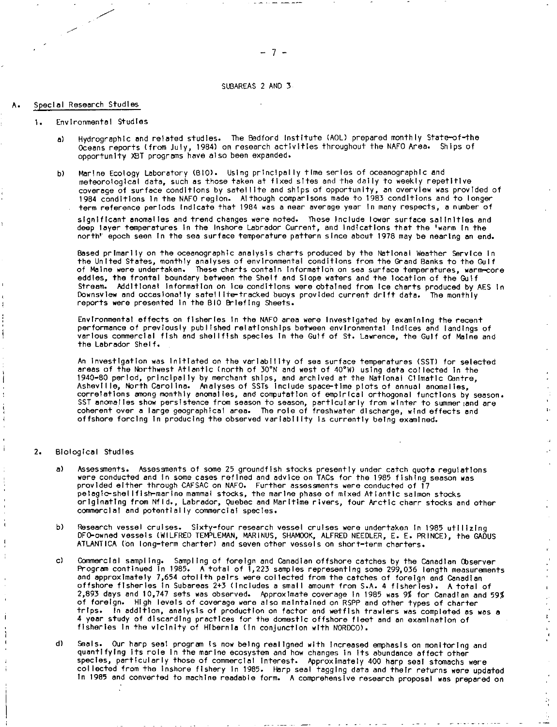## SUBAREAS 2 AND 3

## Special Research Studies

## 1. Environmental Studies

- a) Hydrographic and related studies. The Bedford Institute (AOL) prepared monthly State-of-the Oceans reports (from July, 1984) on research activities throughout the NAFO Area. Ships of opportunity XBT programs have also been expanded.
- b) Marine Ecology Laboratory (B10). Using principally time series of oceanographic and meteorological data, such as those taken at fixed sites and the daily to weekly repetitive coverage of surface conditions by satellite and ships of opportunity, an overview was provided of 1984 conditions In the NAFO region. Although comparisons made to 1983 conditions and to longer term reference periods indicate that 1984 was a near average year In many respects, a number of

significant anomalies and trend changes were noted. These include lower surface salinities and deep layer temperatures in the Inshore Labrador Current, and indications that the 'warm in the north" epoch seen in the sea surface temperature pattern since about 1978 may be nearing an end.

Based primarily on the oceanographic analysis charts produced by the National Weather Service in the United States, monthly analyses of environmental conditions from the Grand Banks to the Gulf of Maine were undertaken. These charts contain information on sea surface temperatures, warm-core eddies, the frontal boundary between the Shelf and Slope waters and the location of the Gulf Stream. Additional information on Ice conditions were obtained from Ice charts produced by AES in Downsview and occasionally satellite-tracked buoys provided current drift data. The monthly reports were presented in the BIO Briefing Sheets.

Environmental effects on fisheries in the NAFO area were investigated by examining the recent performance of previously published relationships between environmental Indices and landings of various commercial fish and shellfish species In the Gulf of St. Lawrence, the Gulf of Maine and the Labrador Shelf.

An investigation was Initiated on the variability of sea surface temperatures (SST) for selected areas of the Northwest Atlantic (north of 30°N and west of 40°W) using data collected in the 1940-80 period, principally by merchant ships, and archived at the National Climatic Centre, Asheville, North Carolina. Analyses of SSTs Include space-time plots of annual anomalies, correlations among monthly anomalies, and computation of empirical orthogonal functions by season. SST anomalies show persistence from season to season, particularly from winter to summer:and are coherent over a large geographical area. The role of freshwater discharge, wind effects and offshore forcing In producing the observed variability is currently being examined.

## 2. Biological Studies

- a) Assessments. Assessments of some 25 groundfish stocks presently under catch quota regulations were conducted and In some cases refined and advice on TACs for the 1985 fishing season was provided either through CAFSAC on NAFO. Further assessments were conducted of 17 pelagic-shellfish-marine mammal stocks, the marine phase of mixed Atlantic salmon stocks originating from Nfld., Labrador, Quebec and Maritime rivers, four Arctic charr stocks and other commercial and potentially commercial species.
- b) Research vessel cruises. Sixty-four research vessel cruises were undertaken in 1985 utilizing DFO-owned vessels (WILFRED TEMPLEMAN, MARINUS, SHAMOOK, ALFRED NEEDLER, E. E. PRINCE), the GADUS ATLANTICA Con long-term charter) and seven other vessels on short-term charters.
- c) Commercial sampling. Sampling of foreign and Canadian offshore catches by the Canadian Observer Program continued in 1985. A total of 1,223 samples representing some 299,036 length measurements and approximately 7,654 otolith pairs were collected from the catches of foreign and Canadian offshore fisheries in Subareas 2+3 (includes a small amount from S.A. 4 fisheries). A total of 2,893 days and 10,747 sets was observed. Approximate coverage in 1985 was 9% for Canadian and 59% of foreign. High levels of coverage were also maintained on RSPP and other types of charter trips. In addition, analysis of production on factor and wettish trawlers was completed as was a 4 year study of discarding practices for the domestic offshore fleet and an examination of fisheries in the vicinity of Hibernia (In conjunction with NORDCO).
- d) Seals. Our harp seal program is now being realigned with Increased emphasis on monitoring and quantifying its role In the marine ecosystem and how changes in its abundance affect other species, particularly those of commercial interest. Approximately 400 harp seal stomachs were collected from the inshore fishery in 1985. Harp seal tagging data and their returns were updated In 1985 and converted to machine readable form. A comprehensive research proposal was prepared on

 $\begin{array}{c} 1 \\ 1 \\ 1 \end{array}$ 

à.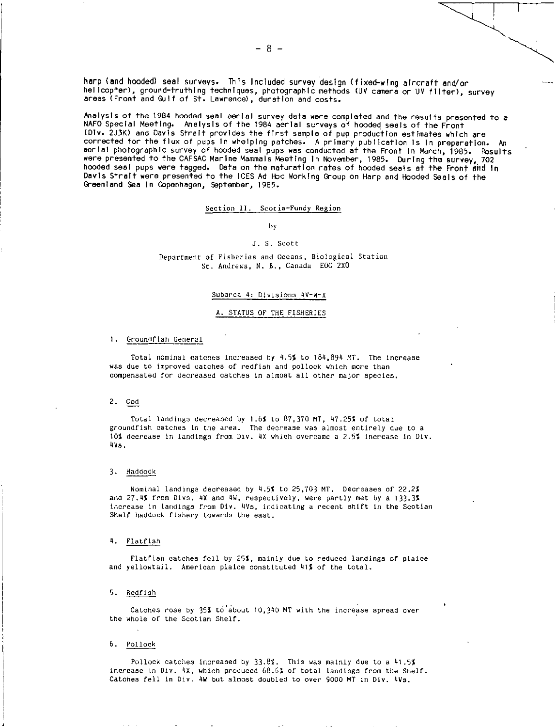harp (and hooded) seal surveys. This Included survey design (fixed-wing aircraft and/or helicopter), ground-truthing techniques, photographic methods (UV camera or UV filter), survey areas (Front and Gulf of St. Lawrence), duration and costs.

Analysis of the 1984 hooded seal aerial survey data were completed and the results presented to a NAFO Special Meeting. Analysis of the 1984 aerial surveys of hooded seals of the Front (Div. 2J3K) and Davis Strait provides the first sample of pup production estimates which are corrected for the flux of pups in whelping patches. A primary publication is in preparation. An aerial photographic survey of hooded seal pups was conducted at the Front In March, 1985. Results were presented to the CAFSAC Marine Mammals Meeting In November, 1985. During the survey, 702 hooded seal pups were tagged. Data on the maturation rates of hooded seals at the Front and In Davis Strait were presented to the ICES Ad Hoc Working Group on Harp and Hooded Seals of the Greenland Sea In Copenhagen, September, 1985.

## Section II. Scotia-Fundy Region

by

## J. S. Scott

Department of Fisheries and Oceans, Biological Station St. Andrews, N. B., Canada EOG 2X0

## Subarea 4: Divisions 4V-W-X

## A. STATUS OF THE FISHERIES

#### 1. Groundfish General

Total nominal catches increased by 4.5% to 184,894 MT. The increase was due to improved catches of redfish and pollock which more than compensated for decreased catches in almost all other major species.

#### 2. Cod

Total landings decreased by 1.6% to 87,370 MT, 47.25% of total groundfish catches in the area. The decrease was almost entirely due to a 10% decrease in landings from Div. 4X which overcame a 2.5% increase in Div. 4Vs.

## 3. Haddock

Nominal landings decreased by 4.5% to 25,703 MT. Decreases of 22.2% and 27.4% from Divs. 4X and 4W, respectively, were partly met by a 133.3% increase in landings from Div. 4Vs, indicating a recent shift in the Scotian Shelf haddock fishery towards the east.

## 4. Flatfish

Flatfish catches fell by 25%, mainly due to reduced landings of plaice and yellowtail. American plaice constituted 41% of the total.

## 5. Redfish

Catches rose by 35% to about 10,340 MT with the increase spread over the whole of the Scotian Shelf.

## 6. Pollock

Pollock catches increased by  $33.8\%$ . This was mainly due to a 41.5% increase in Div. 4X, which produced 68.6% of total landings from the Shelf. Catches fell in Div. 4W but almost doubled to over 9000 MT in Div. 4Vs.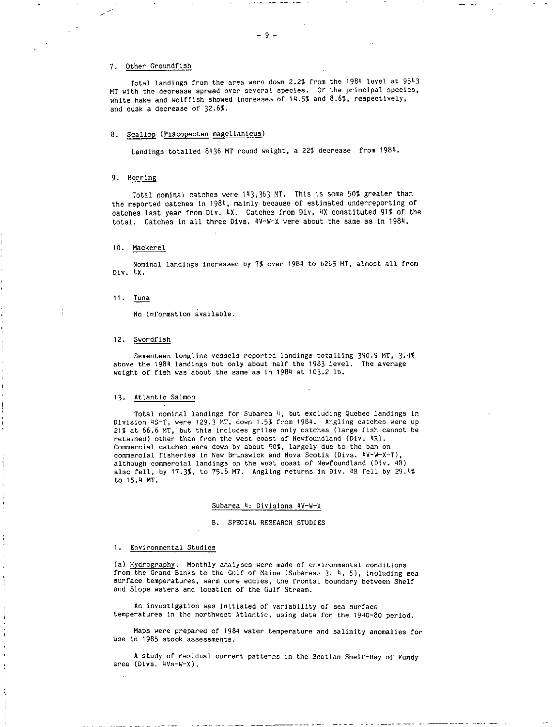## 7. Other Groundfish

Total landings from the area were down 2.2% from the 1984 level at 9543 MT with the decrease spread over several species. Of the principal species, white hake and wolffish showed increases of 14.5% and 8.6%, respectively, and cusk a decrease of 32.6%.

## 8. Scallop (Placopecten magellanicus)

Landings totalled 8436 MT round weight, a 22% decrease from 1984.

## 9. Herring

Total nominal catches were 143,363 MT. This is some 50% greater than the reported catches in 1984, mainly because of estimated underreporting of catches last year from Div. 4X. Catches from Div. 4X constituted 91% of the total. Catches in all three Divs. 4V-W-X were about the same as in 1984.

#### 10. Mackerel

Nominal landings increased by 7% over 1984 to 6265 MT, almost all from Div. 4X.

#### 11. Tuna

No information available.

#### 12. Swordfish

Seventeen longline vessels reported landings totalling 390.9 MT, 3.4% above the 1984 landings but only about half the 1983 level. The average weight of fish was about the same as in 1984 at 103.2 lb.

#### 13. Atlantic Salmon

Total nominal landings for Subarea 4, but excluding Quebec landings in Division 4S-T, were 129.3 MT, down 1.5% from 1984. Angling catches were up 21% at 66.6 MT, but this includes grilse only catches (large fish cannot be retained) other than from the west coast of Newfoundland (Div. 4R). Commercial catches were down by about 50%, largely due to the ban on commercial fisheries in New Brunswick and Nova Scotia (Divs. 4V-W-X-T), although commercial landings on the west coast of Newfoundland (Div. 4R) also fell, by 17.3%, to 75.8 MT. Angling returns in Div. 4R fell by 29.4% to 15.4 MT.

## Subarea 4: Divisions 4V-W-X

## B. SPECIAL RESEARCH STUDIES

#### 1. Environmental Studies

(a) Hydrography. Monthly analyses were made of environmental conditions from the Grand Banks to the Gulf of Maine (Subareas 3, 4, 5), including sea surface temperatures, warm core eddies, the frontal boundary between Shelf and Slope waters and location of the Gulf Stream.

An investigation was initiated of variability of sea surface temperatures in the northwest Atlantic, using data for the 1940-80 period.

Maps were prepared of 1984 water temperature and salinity anomalies for use in 1985 stock assessments.

A study of residual current patterns in the Scotian Shelf-Bay of Fundy area (Divs. 4Vs-W-X).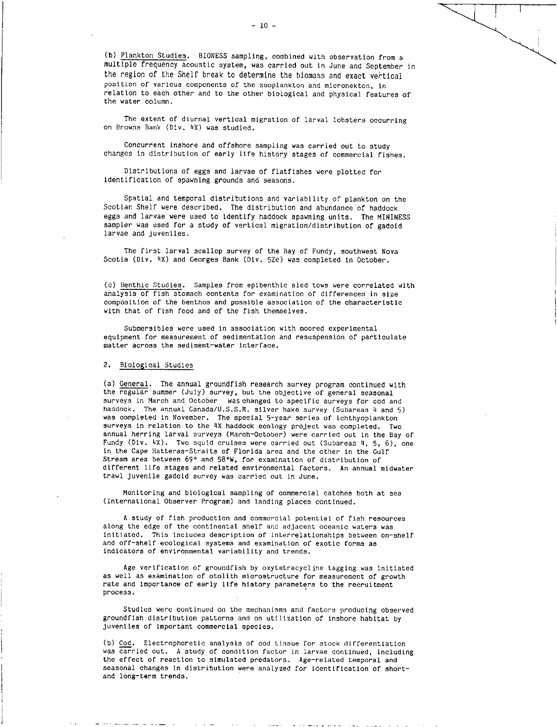(b) Plankton Studies. BIONESS sampling, combined with observation from a multiple frequency acoustic system, was carried out in June and September in the region of the Shelf break to determine the biomass and exact vertical position of various components of the zooplankton and micronekton, in relation to each other and to the other biological and physical features of the water column.

The extent of diurnal vertical migration of larval lobsters occurring on Browns Bank (Div. 4X) was studied.

Concurrent inshore and offshore sampling was carried out to study changes in distribution of early life history stages of commercial fishes.

Distributions of eggs and larvae of flatfishes were plotted for identification of spawning grounds and seasons.

Spatial and temporal distributions and variability of plankton on the Scotian Shelf were described. The distribution and abundance of haddock eggs and larvae were used to identify haddock spawning units. The MININESS sampler was used for a study of vertical migration/distribution of gadoid larvae and juveniles.

The first larval scallop survey of the Bay of Fundy, southwest Nova Scotia (Div. 4X) and Georges Bank (Div. 5Ze) was completed in October.

(c)Benthic Studies. Samples from epibenthic sled tows were correlated with analysis of fish stomach contents for examination of differences in size composition of the benthos and possible association of the characteristic with that of fish food and of the fish themselves.

Submersibles were used in association with moored experimental equipment for measurement of sedimentation and resuspension of particulate matter across the sediment-water interface.

## 2. Biological Studies

(a) General. The annual groundfish research survey program continued with the regular summer (July) survey, but the objective of general seasonal surveys in March and October was changed to specific surveys for cod and haddock. The annual Canada/U.S.S.R. silver hake survey (Subareas 4 and 5) was completed in November. The special 5-year series of ichthyoplankton surveys in relation to the 4X haddock ecology project was completed. Two annual herring larval surveys (March -October) were carried out in the Bay of Fundy (Div.  $\overline{4x}$ ). Two squid cruises were carried out (Subareas 4, 5, 6), one in the Cape Hatteras-Straits of Florida area and the other in the Gulf Stream area between 69° and 58°W, for examination of distribution of different life stages and related environmental factors. An annual midwater trawl juvenile gadoid survey was carried out in June.

Monitoring and biological sampling of commercial catches both at sea (International Observer Program) and landing places continued.

A study of fish production and commercial potential of fish resources along the edge of the continental shelf and adjacent oceanic waters was initiated. This includes description of interrelationships between on-shelf and off-shelf ecological systems and examination of exotic forms as indicators of environmental variability and trends.

Age verification of groundfish by oxytetracycline tagging was initiated as well as examination of otolith microstructure for measurement of growth rate and importance of early life history parameters to the recruitment process.

Studies were continued on the mechanisms and factors producing observed groundfish distribution patterns and on utilization of inshore habitat by juveniles of important commercial species.

(b)Cod. Electrophoretic analysis of cod tissue for stock differentiation was carried out. A study of condition factor in larvae continued, including the effect of reaction to simulated predators. Age-related temporal and seasonal changes in distribution were analyzed for identification of shortand long-term trends.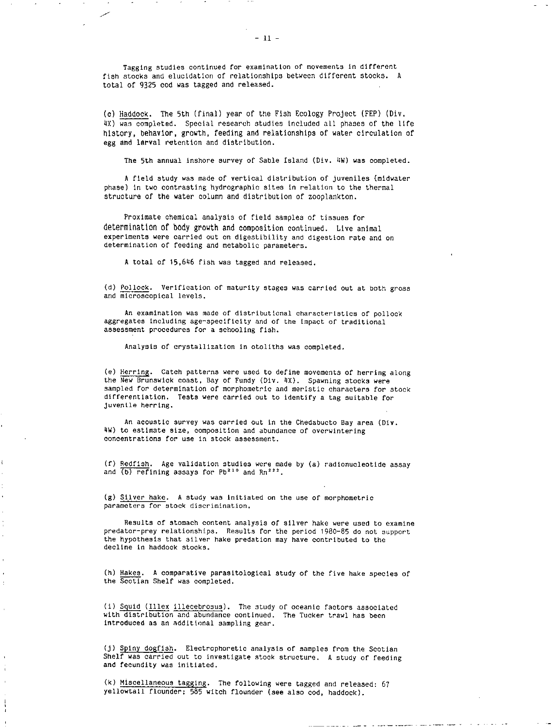Tagging studies continued for examination of movements in different fish stocks and elucidation of relationships between different stocks. A total of 9325 cod was tagged and released.

(c) Haddock. The 5th (final) year of the Fish Ecology Project (FEP) (Div. 4X) was completed. Special research studies included all phases of the life history, behavior, growth, feeding and relationships of water circulation of egg and larval retention and distribution.

The 5th annual inshore survey of Sable Island (Div. 4W) was completed.

A field study was made of vertical distribution of juveniles (midwater phase) in two contrasting hydrographic sites in relation to the thermal structure of the water column and distribution of zooplankton.

Proximate chemical analysis of field samples of tissues for determination of body growth and composition continued. Live animal experiments were carried out on digestibility and digestion rate and on determination of feeding and metabolic parameters.

A total of 15,646 fish was tagged and released.

(d) Pollock. Verification of maturity stages was carried out at both gross and microscopical levels.

An examination was made of distributional characteristics of pollock aggregates including age-specificity and of the impact of traditional assessment procedures for a schooling fish.

Analysis of crystallization in otoliths was completed.

(e) Herring. Catch patterns were used to define movements of herring along the New Brunswick coast, Bay of Fundy (Div. 4X). Spawning stocks were sampled for determination of morphometric and meristic characters for stock differentiation. Tests were carried out to identify a tag suitable for juvenile herring.

An acoustic survey was carried out in the Chedabucto Bay area (Div. 4W) to estimate size, composition and abundance of overwintering concentrations for use in stock assessment.

(f) Redfish.Age validation studies were made by (a) radionucleotide assay and  $(b)$  refining assays for Pb<sup>210</sup> and Rn<sup>222</sup>.

(g) Silver hake.A study was initiated on the use of morphometric parameters for stock discrimination.

Results of stomach content analysis of silver hake were used to examine predator-prey relationships. Results for the period 1980-85 do not support the hypothesis that silver hake predation may have contributed to the decline in haddock stocks.

(h) Hakes. A comparative parasitological study of the five hake species of the Scotian Shelf was completed.

(i) Squid (Illex illecebrosus). The study of oceanic factors associated with distribution and abundance continued. The Tucker trawl has been introduced as an additional sampling gear.

(j) Spiny dogfish. Electrophoretic analysis of samples from the Scotian Shelf was carried out to investigate stock structure. A study of feeding and fecundity was initiated.

(k) Miscellaneous tagging. The following were tagged and released: 67 yellowtail flounder; 585 witch flounder (see also cod, haddock).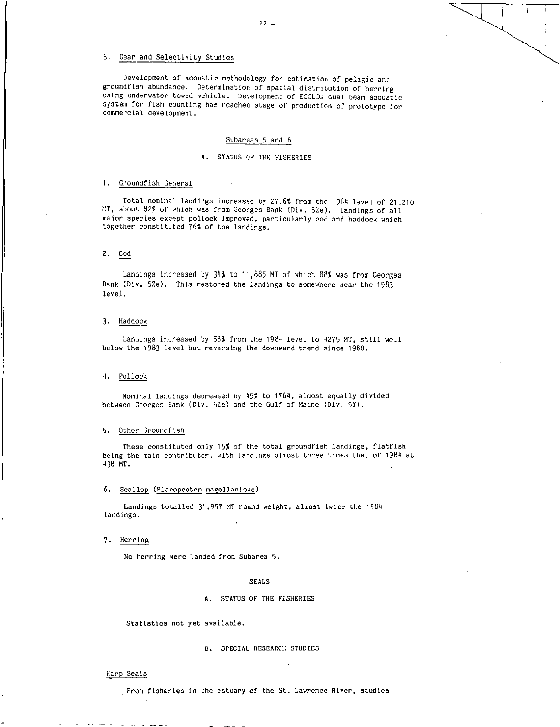## 3. Gear and Selectivity Studies

Development of acoustic methodology for estimation of pelagic and groundfish abundance. Determination of spatial distribution of herring using underwater towed vehicle. Development of ECOLOG dual beam acoustic system for fish counting has reached stage of production of prototype for commercial development.

#### Subareas 5 and 6

## A. STATUS OF THE FISHERIES

## 1. Groundfish General

Total nominal landings increased by 27.6% from the 1984 level of 21,210 MT, about 82% of which was from Georges Bank (Div. 52e). Landings of all major species except pollock improved, particularly cod and haddock which together constituted 76% of the landings.

## 2. Cod

Landings increased by 34% to 11,885 MT of which 88% was from Georges Bank (Div. 5Ze). This restored the landings to somewhere near the 1983 level.

## 3. Haddock

Landings increased by 58% from the 1984 level to 4275 MT, still well below the 1983 level but reversing the downward trend since 1980.

## 4. Pollock

Nominal landings decreased by 45% to 1764, almost equally divided between Georges Bank (Div. 5Ze) and the Gulf of Maine (Div. 5Y).

# 5. Other Groundfish

These constituted only 15% of the total groundfish landings, flatfish being the main contributor, with landings almost three times that of 1984 at 438 MT.

## 6. Scallop (Placopecten magellanicus)

Landings totalled 31,957 MT round weight, almost twice the 1984 landings.

## 7. Herring

No herring were landed from Subarea 5.

#### SEALS

#### A. STATUS OF THE FISHERIES

Statistics not yet available.

#### B. SPECIAL RESEARCH STUDIES

#### Harp Seals

 $\sim$ 

From fisheries in the estuary of the St. Lawrence River, studies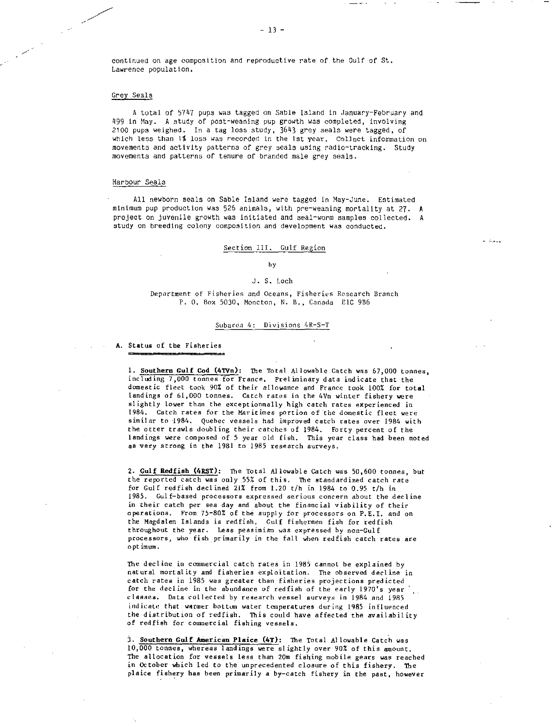continued on age composition and reproductive rate of the Gulf of St. Lawrence population.

## Grey Seals

A total of 57 147 pups was tagged on Sable Island in January - February and 499 in May. A study of post-weaning pup growth was completed, involving 2100 pups weighed. In a tag loss study, 3643 grey seals were tagged, of which less than 1% loss was recorded in the 1st year. Collect information on movements and activity patterns of grey seals using radio-tracking. Study movements and patterns of tenure of branded male grey seals.

## Harbour Seals

All newborn seals on Sable Island were tagged in May-June. Estimated minimum pup production was 526 animals, with pre -weaning mortality at 27. A project on juvenile growth was initiated and seal-worm samples collected. A study on breeding colony composition and development was conducted.

## Section III. Gulf Region

#### by

#### J. S. Loch

Department of Fisheries and Oceans, Fisheries Research Branch P. O. Box 5030, Moncton, N. B., Canada E1C 9B6

#### Subarea 4: Divisions 4R-S-T

A. Status of the Fisheries

1. Southern Gulf Cod (4TVn): The Total Allowable Catch was 67,000 tonnes, including 7,000 tonnes for France. Preliminary data indicate that the domestic fleet took 90% of their allowance and France took 100% for total landings of 61,000 tonnes. Catch rates in the 4Vn winter fishery were slightly lower than the exceptionnally high catch rates experienced in 1984. Catch rates for the Maritimes portion of the domestic fleet were similar to 1984. Quebec vessels had improved catch rates over 1984 with the otter trawls doubling their catches of 1984. Forty percent of the landings were composed of 5 year old fish. This year class had been noted *as* very strong in the 1981 to 1985 research surveys.

2. Gulf Redfiah (4RST): The Total Allowable Catch was 50,600 tonnes, but the reported catch was only 55% of this. The standardized catch rate for Gulf redfish declined 21% from 1.20 t/h in 1984 to 0.95 t/h in 1985. Gulf-based processors expressed serious concern about the decline in their catch per sea day and about the financial viability of their operations. From 75-80% of the supply for processors on F.B.I. and on the Magdalen Islands is redfish. Gulf fishermen fish for redfish throughout the year. Less pessimism was expressed by non-Gulf processors, who fish primarily in the fall when redfish catch rates are optimum.

The decline in commercial catch rates in 1985 cannot be explained by natural mortality and fisheries exploitation. The observed decline in catch rates in 1985 was greater than fisheries projections predicted for the decline in the abundance of redfish of the early 1970's year claases. Data collected by research vessel surveys in 1984 and 1985 indicate that warmer bottom water temperatures during 1985 influenced the distribution of redfish. This could have affected the availability of redfish for commercial fishing vessels.

a. Southern Gulf American Plaice (4T): The Total Allowable *Catch was*  10,000 tonnes, whereas landings were slightly over 90% of this amount. The allocation for vessels less than 20m fishing mobile gears was reached in October which led to the unprecedented closure of this fishery. The plaice fishery has been primarily a by-catch fishery in the past, however المستربكا الما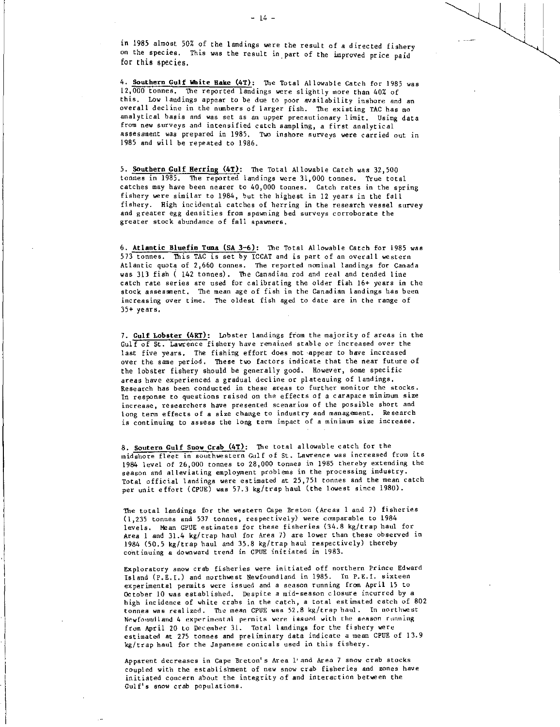in 1985 almost 50% of the landings were the result of a directed fishery on the species. This was the result in part of the improved price paid for this species.

4. Southern Gulf White Hake (4T): The Total Allowable Catch for 1985 was 12,000 tonnes. The reported landings were slightly more than 40% of this. Low landings appear to be due to poor availability inshore and an overall decline in the numbers of larger fish. The existing TAC has no analytical basis and was set as an upper precautionary limit. Using data from new surveys and intensified catch sampling, a first analytical assessment was prepared in 1985. Two inshore surveys were carried out in 1985 and will be repeated to 1986.

5. Southern Gulf Herring (4T): The Total Allowable Catch was 32,500 tonnes in 1985. The reported landings were 31,000 tonnes. True total catches may have been nearer to 40,000 tonnes. Catch rates in the spring fishery were similar to 1984, but the highest in 12 years in the fall fishery. High incidental catches of herring in the research vessel survey and greater egg densities from spawning bed surveys corroborate the greater stock abundance of fall spawners.

6. Atlantic Bluefin Tuna (SA 3-6): The Total Allowable Catch for 1985 was 573 tonnes. This TAC is set by ICCAT and is part of an overall western Atlantic quota of 2,660 tonnes. The reported nominal landings for Canada was 313 fish ( 142 tonnes). The Canadian rod and real and tended line catch rate series are used for calibrating the older fish 16+ years in the stock assessment. The mean age of fish in the Canadian landings has been increasing over time. The oldest fish aged to date are in the range of 35+ years.

7. Gulf Lobster (4RT): Lobster landings from the majority of areas in the Gulf of St. Lawrence fishery have remained stable or increased over the last five years. The fishing effort does not appear to have increased over the same period. These two factors indicate that the near future of the lobster fishery should be generally good. However, some specific areas have experienced a gradual decline or plateauing of landings. Research has been conducted in these *areas* to further monitor the stocks. In response to questions raised on the effects of a carapace minimum size increase, researchers have presented scenarios of the possible short and long term effects of a size change to industry and management. Research is continuing to assess the long term impact of a minimum size increase.

8. Soutern Gulf Snow Crab (4T): The total allowable catch for the midshore fleet in southwestern Gulf of St. Lawrence was increased from its 1984 level of 26,000 tonnes to 28,000 tonnes in 1985 thereby extending the season and alleviating employment problems in the processing industry. Total official landings were estimated at 25,751 tonnes and the mean catch per unit effort (CPUE) was 57.3 kg/trap haul (the lowest since 1980).

The total landings for the western Cape Breton (Areas 1 and 7) fisheries (1,235 tonnes and 537 tonnes, respectively) were comparable to 1984 levels. Mean CPUE estimates for these fisheries (34.8 kg/trap haul for Area 1 and 31.4 kg/trap haul for Area 7) are lower than these observed in 1984 (50.5 kg/trap haul and 35.8 kg/trap haul respectively) thereby continuing a downward trend in CPUE initiated in 1983.

Exploratory snow crab fisheries were initiated off northern Prince Edward Island (P.E.I.) and northwest Newfoundland in 1985. In P.E.I. sixteen experimental permits were issued and a season running from April 15 to October 10 was established. Despite a mid-season closure incurred by a high incidence of white crabs in the catch, a total estimated catch of 802 tonnes was realized. The mean CPUE was 52.8 kg/trap haul. In northwest Newfoundland 4 experimental permits were issued with the season running from April 20 to December 31. Total landings for the fishery were estimated at 275 tonnes and preliminary data indicate a mean CPUE of 13.9 kg/trap haul for the Japanese conicals used in this fishery.

Apparent decreases in Cape Breton's Area l'and Area 7 snow crab stocks coupled with the establishment of new snow crab fisheries and zones have initiated concern about the integrity of and interaction between the Gulf's snow crab populations.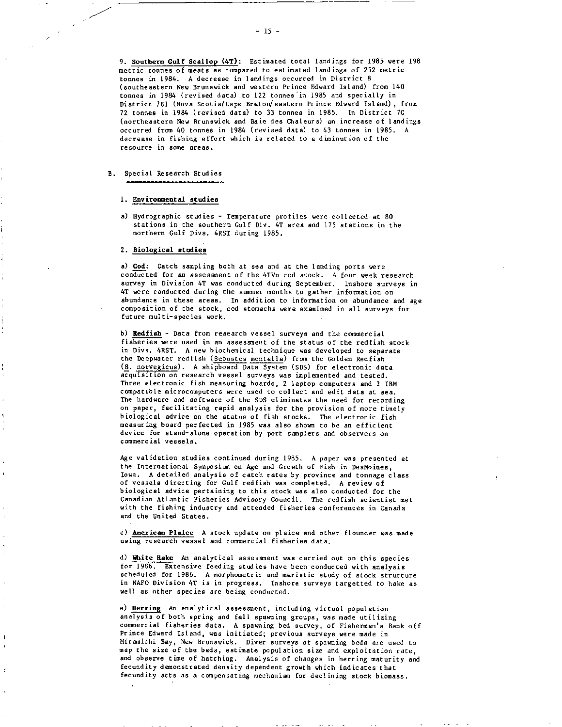9. **Southern Gulf Scallop (4T):** Estimated total landings for 1985 were 198 metric tonnes of meats as compared to estimated landings of 252 metric tonnes in 1984. A decrease in landings occurred in District 8 (southeastern New Brunswick and western Prince Edward Island) from 140 tonnes in 1984 (revised data) to 122 tonnes in 1985 and specially in District 781 (Nova Scotia/Cape Breton/eastern Prince Edward Island), from 72 tonnes in 1984 (revised data) to 33 tonnes in 1985. In District 7C (northeastern New Brunswick and Baie des Chaleurs) an increase of landings occurred from 40 tonnes in 1984 (revised data) to 43 tonnes in 1985. A decrease in fishing effort which is related to a diminution of the resource in some *areas.* 

#### B. Special Research Studies

#### **1. Environmental studies**

a) Hydrographic studies - Temperature profiles were collected at 80 stations in the southern Gulf Div. 4T area and 175 stations in the northern Gulf Divs. 4RST during 1985.

## **2. Biological studies**

**a) Cod:** Catch sampling both at sea and at the landing ports were conducted for an assessment of the 4TVn cod stock. A four week research survey in Division 4T was conducted during September. Inshore surveys in 4T were conducted during the summer months to gather information on abundance in these areas. In addition to information on abundance and age composition of the stock, cod stomachs were examined in all surveys for future multi-species work.

**b) Redfish -** Data from research vessel surveys and the commercial fisheries were used in an assessment of the status of the redfish stock in Divs. 4RST. A new biochemical technique was developed to separate the Deepwater redfish (Sebastes mentalla) from the Golden Redfish (S. norvegicus). A shipboard Data System (SDS) for electronic data acquisition on research vessel surveys was implemented and tested. Three electronic fish measuring boards, 2 laptop computers and 2 IBM compatible microcomputers were used to collect and edit data at sea. The hardware and software of the SDS eliminates the need for recording on paper, facilitating rapid analysis for the provision of more timely biological advice on the status of fish stocks. The electronic fish measuring board perfected in 1985 *was* also shown to be an efficient device for stand-alone operation by port samplers and observers on commercial vessels.

Age validation studies continued during 1985. A paper was presented at the International Symposium on Age and Growth of Fish in DesMoines, Iowa. A detailed analysis of catch rates by province and tonnage class of vessels directing for Gulf redfish was completed. A review of biological advice pertaining to this stock was also conducted for the Canadian Atlantic Fisheries Advisory Council. The redfish scientist met with the fishing industry and attended fisheries conferences in Canada and the United States.

**c) American Plaice** A stock update on plaice and other flounder *was* made using research vessel and commercial fisheries data.

**d) White Hake** An analytical assessment was carried out on this species for 1986. Extensive feeding studies have been conducted with *analysis*  scheduled for 1986. A morphometric and meristic study of stock structure in NAFO Division 4T is in progress. Inshore surveys targetted to hake as well as other species are being conducted.

**e) Herring** An analytical assessment, including virtual population analysis of both spring and fall spawning groups, was made utilizing commercial fisheries data. A spawning bed survey, of Fisherman's Bank off Prince Edward Island, was initiated; previous surveys were made in Miramichi Bay, New Brunswick. Diver surveys of spawning beds are used to map the size of the beds, estimate population size and exploitation rate, and observe time of hatching. Analysis of changes in herring maturity and fecundity demonstrated density dependent growth which indicates that fecundity acts as a compensating mechanism for declining stock biomass.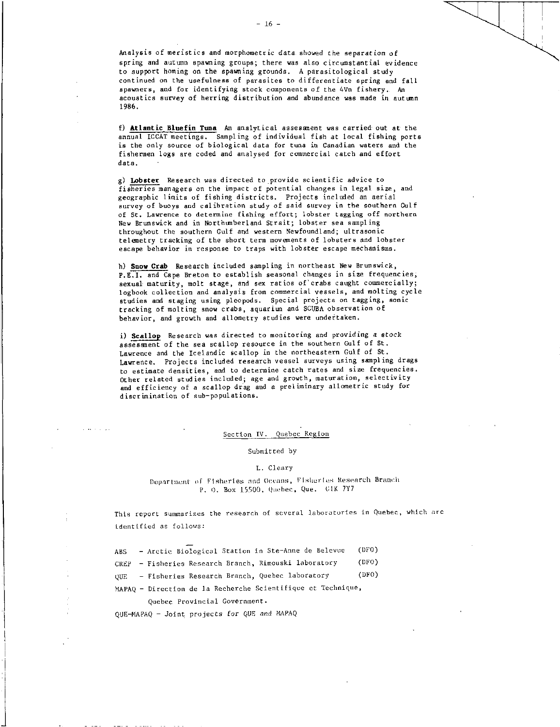Analysis of meristics and morphometric data showed the separation of spring and autumn spawning groups; there was also circumstantial evidence to support homing on the spawning grounds. A parasitological study continued on the usefulness of parasites to differentiate spring and fall spawners, and for identifying stock components of the 4Vn fishery. An acoustics survey of herring distribution and abundance was made in autumn 1986.

**f) Atlantic Bluefin Tuna** An analytical assessment was carried out at the annual ICCAT meetings. Sampling of individual fish at local fishing ports is the only source of biological data for tuna in Canadian waters and the fishermen logs are coded and analysed for commercial catch and effort data.

**g) Lobster** Research was directed to provide scientific advice to fisheries managers on the impact of potential changes in legal size, and geographic limits of fishing districts. Projects included an aerial survey of buoys and calibration study of said survey in the southern Gulf of St. Lawrence to determine fishing effort; lobster tagging off northern New Brunswick and in Northumberland Strait; lobster sea sampling throughout the southern Gulf and western Newfoundland; ultrasonic telemetry tracking of the short term movements of lobsters and lobster escape behavior in response to traps with lobster escape mechanisms.

**h) Snow Crab** Research included sampling in northeast New Brunswick, R.E.I. and Cape Breton to establish seasonal changes in size frequencies, sexual maturity, molt stage, and sex ratios of'crabs caught commercially; logbook collection and analysis from commercial vessels, and molting cycle studies and staging using pleopods. Special projects on tagging, sonic tracking of molting snow crabs, aquarium and SCUBA observation of behavior, and growth and allometry studies were undertaken.

i) Scallop Research was directed to monitoring and providing a stock assessment of the sea scallop resource in the southern Gulf of St. Lawrence and the Icelandic scallop in the northeastern Gulf of St. Lawrence. Projects included research vessel surveys using sampling drags to estimate densities, and to determine catch rates and size frequencies. Other related studies included; age and growth, maturation, selectivity and efficiency of a scallop drag and a preliminary allometric study for discrimination of sub-populations.

## Section IV. Quebec Region

## Submitted by

#### L. Cleary

Department of Plsherles and Ocuans, Fisherlea Research Branch P. O. Box 15500, Quebec, Que. GIK 7Y7

This report summarizes the research of several laboratories in Quebec, which arc identified as follows:

ABS - Arctic Biological Station in Ste-Anne de Belevue (DFO)

CREP - Fisheries Research Branch, Rimouski laboratory (DFO)

QUE - Fisheries Research Branch, Quebec laboratory (DFO)

MAPAQ - Direction de Is Recherche Scientifique et Technique,

Quebec Provincial Government.

QUE-MAPAQ - Joint projects for QUE and MAPAQ

- 16-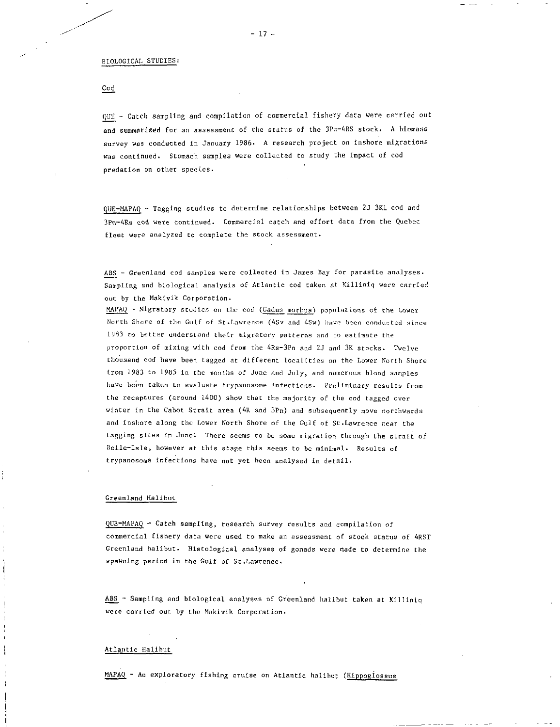#### BIOLOGICAL. STUDIES:

## Cod

QUE - Catch sampling and compilation of commercial fishery data were carried out and summarized for an assessment of the status of the 3Pn-4RS stock. A biomass survey was conducted in January 1986. A research project on inshore migrations was continued. Stomach samples were collected to study the impact of cod predation on other species.

QUE-MAPAQ. - Tagging studies to determine relationships between 2J 3K1 cod and 3Pn-4Rs cod were continued. Commercial catch and effort data from the Quebec fleet were analyzed to complete the stock assessment.

ABS - Greenland cod samples were collected in James Bay for parasite analyses. Sampling and biological analysis of Atlantic cod taken at Killiniq were carried out by the Makivik Corporation.

MAPAQ - Migratory studies on the cod (Gadus morhua) populations of the Lower North Shore of the Gulf of St.Lawrence (4Sv and 4Sw) have been conducted since 1983 to better understand their migratory patterns and to estimate the proportion of mixing with cod from the 4Rs-3Pn and 2J and 3K stocks. Twelve thousand cod have been tagged at different localities on the Lower North Shore from 1983 to 1985 in the months of June and July, and numerous blood samples have been taken to evaluate trypanosome infections. Preliminary results from the recaptures (around 1400) show that the majority of the cod tagged over winter in the Cabot Strait area (4R and 3Pn) and subsequently move northwards and inshore along the Lower North Shore of the Gulf of St.Lawrence near the tagging sites in June: There seems to be some migration through the strait of Belle-Isle, however at this stage this seems to be minimal. Results of trypanosome infections have not yet been analysed in detail.

## Greenland Halibut

 $QUE-MAPAQ - Catch sampling, research survey results and compilation of$ commercial fishery data were used to make an assessment of stock status of 4RST Greenland halibut. Histological analyses of gonads were made to determine the spawning period in the Gulf of St.Lawrence.

ABS - Sampling and biological analyses of Greenland halibut taken at Killiniq were carried out by the Makivik Corporation.

#### Atlantic Halibut

MAPAQ - An exploratory fishing cruise on Atlantic halibut (Hippoglossus

 $-17 -$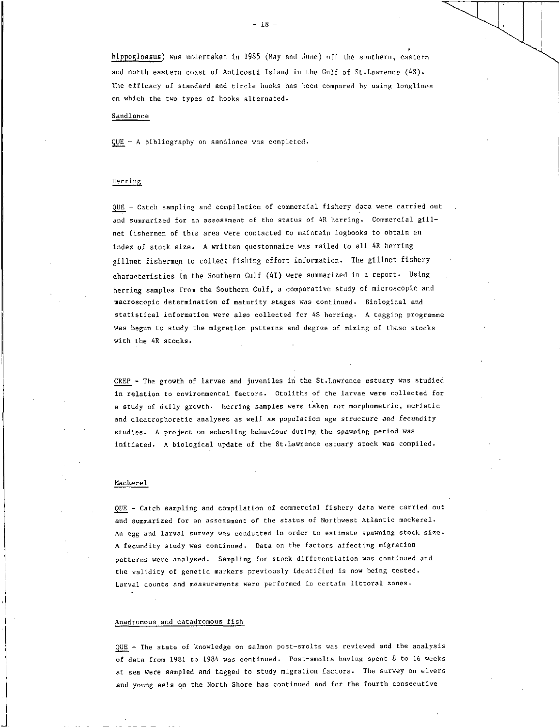hippOglossus)was undertaken in 1985 (May and June) off the southern, eastern and north eastern coast of Anticosti Island in the Gulf of St.Lawrence (48). The efficacy of standard and circle hooks has been compared by using longlines on which the two types of hooks alternated.

## Sandlance

QUE- A bibliography on sandlance was completed.

## Herring

QUE - Catch sampling and compilation of commercial fishery data were carried out and summarized for an assessment of the status of 4R herring. Commercial gillnet fishermen of this area were contacted to maintain logbooks to obtain an index of stock size. A written questonnaire was mailed to all 4R herring gillnet fishermen to collect fishing effort information. The gillnet fishery characteristics in the Southern Gulf (4T) were summarized in a report. Using herring samples from the Southern Gulf, a comparative study of microscopic and macroscopic determination of maturity stages was continued. Biological and statistical information were also collected for 4S herring. A tagging programme was begun to study the migration patterns and degree of mixing of these stocks with the 4R stocks.

CREP - The growth of larvae and juveniles in the St.Lawrence estuary was studied in relation to environmental factors. Otoliths of the larvae were collected for a study of daily growth. Herring samples were taken for morphometric, meristic and electrophoretic analyses as well as population age structure and fecundity studies. A project on schooling behaviour during the spawning period was initiated. A biological update of the St.Lawrence estuary stock was compiled.

#### Mackerel

QUE - Catch sampling and compilation of commercial fishery data were carried out and summarized for an assessment of the status of Northwest Atlantic mackerel. An egg and larval survey was conducted in order to estimate spawning stock size. A fecundity study was continued. Data on the factors affecting migration patterns were analysed. Sampling for stock differentiation was continued and the validity of genetic markers previously identified is now being tested. Larval counts and measurements were performed in certain littoral zones.

## Anadromous and catadromous fish

QUE - The state of knowledge on salmon post-smolts was reviewed and the analysis of data from 1981 to 1984 was continued. Post-smolts having spent 8 to 16 weeks at sea were sampled and tagged to study migration factors. The survey on elvers and young eels on the North Shore has continued and for the fourth consecutive

- 18 -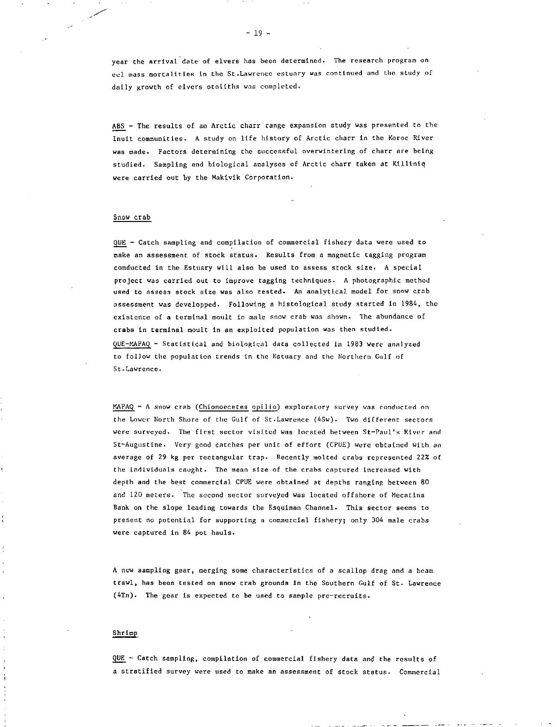year the arrival date of elvers has been determined. The research program on eel mass mortalities in the St.Lawrence estuary was continued and the study of daily growth of elvers otoliths was completed.

ABS - The results of an Arctic charr range expansion study was presented to the Inuit communities. A study on life history of Arctic charr in the Koroc River was made. Factors determining the successful overwintering of charr are being studied. Sampling and biological analyses of Arctic charr taken at Killiniq were carried out by the Makivik Corporation.

## Snow crab

QUE - Catch sampling and compilation of commercial fishery data were used to make an assessment of stock status. Results from a magnetic tagging program conducted in the Estuary will also be used to assess stock size. A special project was carried out to improve tagging techniques. A photographic method used to assess stock size was also tested. An analytical model for snow crab assessment was developped. Following a histological study started in 1984, the existence of a terminal moult in male snow crab was shown. The abundance of crabs in terminal moult in an exploited population was then studied. QUE-MAPAQ- Statistical and biological data collected In 1983 were analyzed to follow the population trends in the Estuary and the Northern Gulf of St.Lawrence.

MAPAQ - A snow crab (Chionoecetes opilio) exploratory survey was conducted on the Lower North Shore of the Gulf of St.Lawrence (4Sw). Two different sectors were surveyed. The first sector visited was located between St-Paul's River and St-Augustine. Very good catches per unit of effort (CPUE) were obtained with an average of 29 kg per rectangular trap. Recently molted crabs represented 22% of the individuals caught. The mean size of the crabs captured increased with depth and the best commercial CPUE were obtained at depths ranging between 80 and 120 meters. The second sector surveyed *was* located offshore of Mecatina Bank on the slope leading towards the Esquiman Channel. This sector seems to present no potential for supporting a commercial fishery; only 304 male crabs were captured in 84 pot hauls.

A new sampling gear, merging some characteristics of a scallop drag and a beam trawl, has been tested on snow crab grounds in the Southern Gulf of St. Lawrence (4Tn). The gear is expected to be used to sample pre-recruits.

## Shrimp

QUE - Catch sampling, compilation of commercial fishery *data* and the results of a stratified survey were used to make an assessment of stock status. Commercial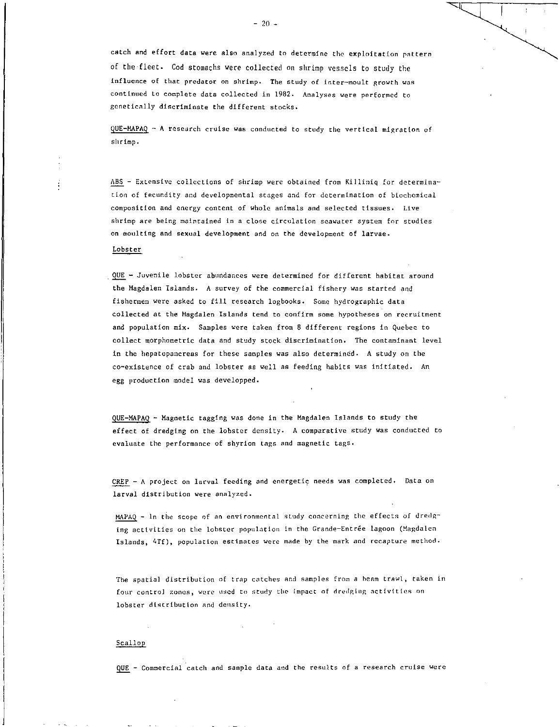catch and effort data were also analyzed to determine the exploitation pattern of the fleet. Cod stomachs were collected on shrimp vessels to study the influence of that predator on shrimp. The study of inter-moult growth was continued to complete data collected in 1982. Analyses were performed to genetically discriminate the different stocks.

 $QUE-MAPAQ - A$  research cruise was conducted to study the vertical migration of shrimp.

ABS - Extensive collections of shrimp were obtained from Killiniq for determination of fecundity and developmental stages and for determination of biochemical composition and energy content of whole animals and selected tissues. Live shrimp are being maintained in a close circulation seawater system for studies on moulting and sexual development and on the development of larvae.

Lobster

 $QUE - Juvenile lobster abundances were determined for different habitat around$ the Magdalen Islands. A survey of the commercial fishery was started and fishermen were asked to fill research logbooks. Some hydrographic data collected at the Magdalen Islands tend to confirm some hypotheses on recruitment and population mix. Samples were taken from 8 different regions in Quebec to collect morphometric data and study stock discrimination. The contaminant level in the hepatopancreas for these samples was also determined. A study on the co-existence of crab and lobster as well as feeding habits was initiated. An egg production model was developped.

QUE-MAPAQ- Magnetic tagging was done in the Magdalen Islands to study the effect of dredging on the lobster density. A comparative study was conducted to evaluate the performance of shyrion tags and magnetic tags.

CREP - A project on larval feeding and energetic needs was completed. Data on larval distribution were analyzed.

MAPAQ - In the scope of an environmental study concerning the effects of dredging activities on the lobster population in the Grande-Entrée lagoon (Magdalen Islands, 4Tf), population estimates were made by the mark and recapture method.

The spatial distribution of trap catches and samples from a henm trawl, taken in four control zones, were used to study the impact of dredging activities on lobster distribution and density.

## Scallop

QUE - Commercial catch and sample data and the results of a research cruise were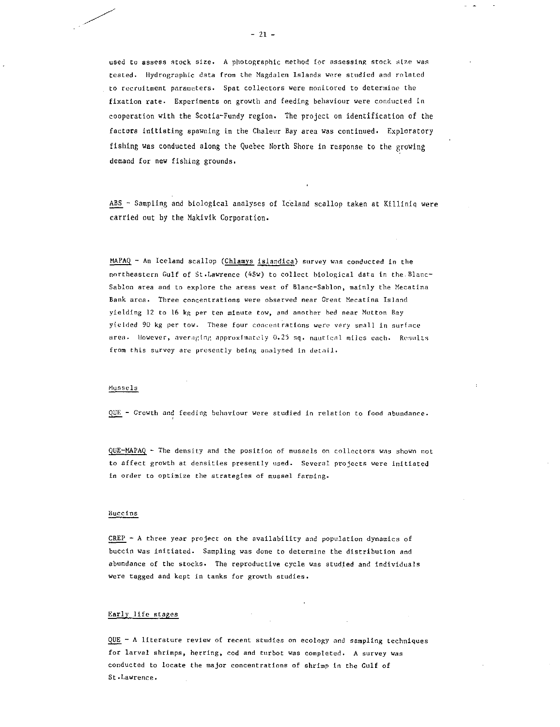used to assess stock size. A photographic method for assessing stock size was tested. Hydrographic data from the Magdalen Islands were studied and related to recruitment parameters. Spat collectors were monitored to determine the fixation rate. Experiments on growth and feeding behaviour were conducted in cooperation with the Scotia-Fundy region. The project on identification of the factors initiating spawning in the Chaleur Bay area was continued. Exploratory fishing was conducted along the Quebec North Shore in response to the growing demand for new fishing grounds.

ABS - Sampling and biological analyses of Iceland scallop taken at Killiniq were carried out by the Makivik Corporation.

MAPAQ - An Iceland scallop (Chlamys islandica) survey was conducted in the northeastern Gulf of St.Lawrence (4Sw) to collect biological data in the.Blanc-Sablon area and to explore the areas west of Blanc-Sablon, mainly the Mecatina Bank area. Three concentrations were observed near Great Mecatina Island yielding 12 to 16 kg per ten minute tow, and another bed near Mutton Bay yielded 90 kg per tow. These four concentrations were very small in surface area. However, averaging approximately 0.25 sq. nautical miles each. Results from this survey are presently being analysed in detail.

## Mussels

QUE - Growth and feeding behaviour were studied in relation to food abundance.

QUE-MAPAQ - The density and the position of mussels on collectors was shown not to affect growth at densities presently used. Several projects were initiated in order to optimize the strategies of mussel farming.

## Buccins

 $CREF - A$  three year project on the availability and population dynamics of buccin was initiated. Sampling was done to determine the distribution and abundance of the stocks. The reproductive cycle was studied and individuals were tagged and kept in tanks for growth studies.

## Early life stages

 $QUE - A$  literature review of recent studies on ecology and sampling techniques for larval shrimps, herring, cod and turbot was completed. A survey was conducted to locate the major concentrations of shrimp in the Gulf of St.Lawrence.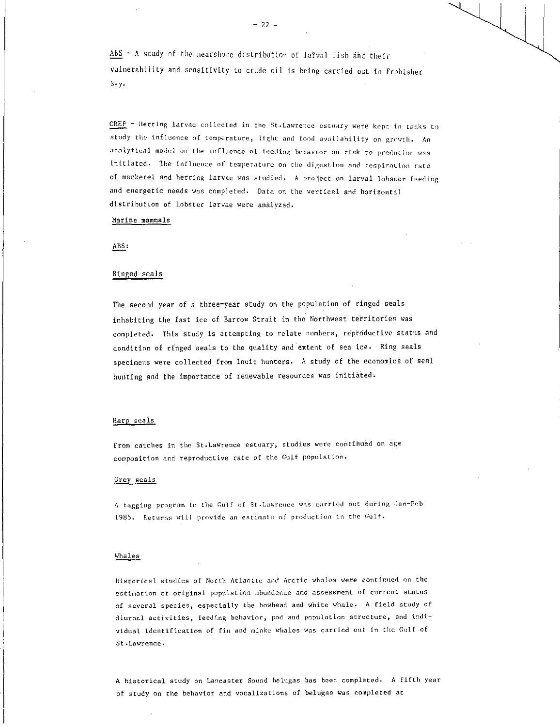ABS - A study of the nearshore distribution of larval fish and their vulnerability and sensitivity to crude oil is being carried out in Frobisher Bay.

CREP - Herring larvae collected in the St.Lawrence estuary were kept in tanks to study the influence of temperature, light and food availability on growth. An analytical model on the influence of feeding behavior on risk to predation was initiated. The influence of temperature on the digestion and respiration rate of mackerel and herring larvae was studied. A project on larval lobster feeding and energetic needs was completed. Data on the vertical and horizontal distribution of lobster larvae were analyzed.

Marine mammals

ABS:

## Ringed seals

The second year of a three-year study on the population of ringed seals inhabiting the fast ice of Barrow Strait in the Northwest territories was completed. This study Is attempting to relate numbers, reproductive status and condition of ringed seals to the quality and extent of sea ice. Ring seals specimens were collected from Inuit hunters. A study of the economics of seal hunting and the importance of renewable resources was initiated.

## Harp seals

From catches in the St.Lawrence estuary, studies were continued on age composition and reproductive rate of the Gulf population.

## Grey seals

A tagging program in the Gulf of St-Lawrence was carried out during Jan-Feb 1985. Returns will provide an estimate of production in the Gulf.

## Whales

Historical studies of North Atlantic and Arctic whales were continued on the estimation of original population abundance and assessment of current status of several species, especially the bowhead and white whale. A field study of diurnal activities, feeding behavior, pod and population structure, and individual identification of fin and minke whales was carried out in the Gulf of St.Lawrence.

A historical study on Lancaster Sound belugas has been completed. A fifth year of study on the behavior and vocalizations of belugas was completed at

ના